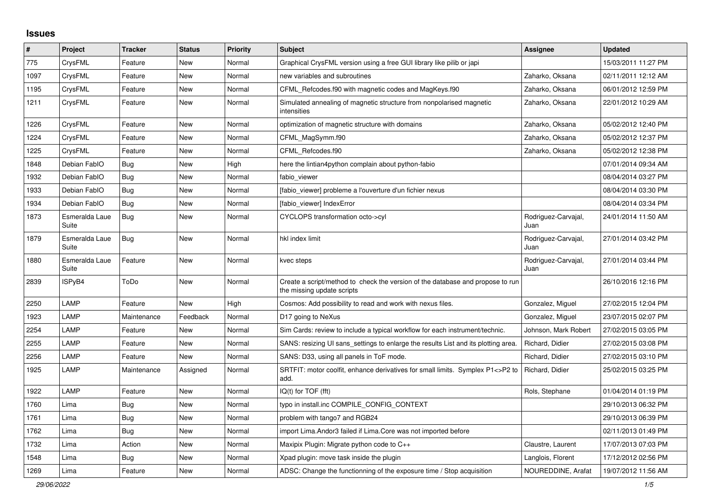## **Issues**

| $\#$ | Project                 | <b>Tracker</b> | <b>Status</b> | <b>Priority</b> | <b>Subject</b>                                                                                               | Assignee                    | <b>Updated</b>      |
|------|-------------------------|----------------|---------------|-----------------|--------------------------------------------------------------------------------------------------------------|-----------------------------|---------------------|
| 775  | CrysFML                 | Feature        | <b>New</b>    | Normal          | Graphical CrysFML version using a free GUI library like pilib or japi                                        |                             | 15/03/2011 11:27 PM |
| 1097 | CrysFML                 | Feature        | New           | Normal          | new variables and subroutines                                                                                | Zaharko, Oksana             | 02/11/2011 12:12 AM |
| 1195 | CrysFML                 | Feature        | New           | Normal          | CFML Refcodes.f90 with magnetic codes and MagKeys.f90                                                        | Zaharko, Oksana             | 06/01/2012 12:59 PM |
| 1211 | CrysFML                 | Feature        | New           | Normal          | Simulated annealing of magnetic structure from nonpolarised magnetic<br>intensities                          | Zaharko, Oksana             | 22/01/2012 10:29 AM |
| 1226 | CrysFML                 | Feature        | New           | Normal          | optimization of magnetic structure with domains                                                              | Zaharko, Oksana             | 05/02/2012 12:40 PM |
| 1224 | CrysFML                 | Feature        | New           | Normal          | CFML MagSymm.f90                                                                                             | Zaharko, Oksana             | 05/02/2012 12:37 PM |
| 1225 | CrysFML                 | Feature        | <b>New</b>    | Normal          | CFML_Refcodes.f90                                                                                            | Zaharko, Oksana             | 05/02/2012 12:38 PM |
| 1848 | Debian FablO            | Bug            | <b>New</b>    | High            | here the lintian4python complain about python-fabio                                                          |                             | 07/01/2014 09:34 AM |
| 1932 | Debian FablO            | Bug            | New           | Normal          | fabio viewer                                                                                                 |                             | 08/04/2014 03:27 PM |
| 1933 | Debian FablO            | <b>Bug</b>     | New           | Normal          | [fabio viewer] probleme a l'ouverture d'un fichier nexus                                                     |                             | 08/04/2014 03:30 PM |
| 1934 | Debian FablO            | <b>Bug</b>     | New           | Normal          | [fabio_viewer] IndexError                                                                                    |                             | 08/04/2014 03:34 PM |
| 1873 | Esmeralda Laue<br>Suite | Bug            | New           | Normal          | CYCLOPS transformation octo->cyl                                                                             | Rodriguez-Carvajal,<br>Juan | 24/01/2014 11:50 AM |
| 1879 | Esmeralda Laue<br>Suite | <b>Bug</b>     | New           | Normal          | hkl index limit                                                                                              | Rodriguez-Carvajal,<br>Juan | 27/01/2014 03:42 PM |
| 1880 | Esmeralda Laue<br>Suite | Feature        | New           | Normal          | kvec steps                                                                                                   | Rodriguez-Carvajal,<br>Juan | 27/01/2014 03:44 PM |
| 2839 | ISPyB4                  | ToDo           | New           | Normal          | Create a script/method to check the version of the database and propose to run<br>the missing update scripts |                             | 26/10/2016 12:16 PM |
| 2250 | LAMP                    | Feature        | <b>New</b>    | High            | Cosmos: Add possibility to read and work with nexus files.                                                   | Gonzalez, Miguel            | 27/02/2015 12:04 PM |
| 1923 | LAMP                    | Maintenance    | Feedback      | Normal          | D <sub>17</sub> going to NeXus                                                                               | Gonzalez, Miguel            | 23/07/2015 02:07 PM |
| 2254 | LAMP                    | Feature        | New           | Normal          | Sim Cards: review to include a typical workflow for each instrument/technic.                                 | Johnson, Mark Robert        | 27/02/2015 03:05 PM |
| 2255 | LAMP                    | Feature        | <b>New</b>    | Normal          | SANS: resizing UI sans_settings to enlarge the results List and its plotting area.                           | Richard, Didier             | 27/02/2015 03:08 PM |
| 2256 | LAMP                    | Feature        | New           | Normal          | SANS: D33, using all panels in ToF mode.                                                                     | Richard, Didier             | 27/02/2015 03:10 PM |
| 1925 | LAMP                    | Maintenance    | Assigned      | Normal          | SRTFIT: motor coolfit, enhance derivatives for small limits. Symplex P1<>P2 to<br>add.                       | Richard, Didier             | 25/02/2015 03:25 PM |
| 1922 | LAMP                    | Feature        | New           | Normal          | $IQ(t)$ for $TOF$ (fft)                                                                                      | Rols, Stephane              | 01/04/2014 01:19 PM |
| 1760 | Lima                    | <b>Bug</b>     | New           | Normal          | typo in install.inc COMPILE CONFIG CONTEXT                                                                   |                             | 29/10/2013 06:32 PM |
| 1761 | Lima                    | Bug            | New           | Normal          | problem with tango7 and RGB24                                                                                |                             | 29/10/2013 06:39 PM |
| 1762 | Lima                    | Bug            | New           | Normal          | import Lima. Andor3 failed if Lima. Core was not imported before                                             |                             | 02/11/2013 01:49 PM |
| 1732 | Lima                    | Action         | New           | Normal          | Maxipix Plugin: Migrate python code to C++                                                                   | Claustre, Laurent           | 17/07/2013 07:03 PM |
| 1548 | Lima                    | Bug            | New           | Normal          | Xpad plugin: move task inside the plugin                                                                     | Langlois, Florent           | 17/12/2012 02:56 PM |
| 1269 | Lima                    | Feature        | <b>New</b>    | Normal          | ADSC: Change the functionning of the exposure time / Stop acquisition                                        | NOUREDDINE, Arafat          | 19/07/2012 11:56 AM |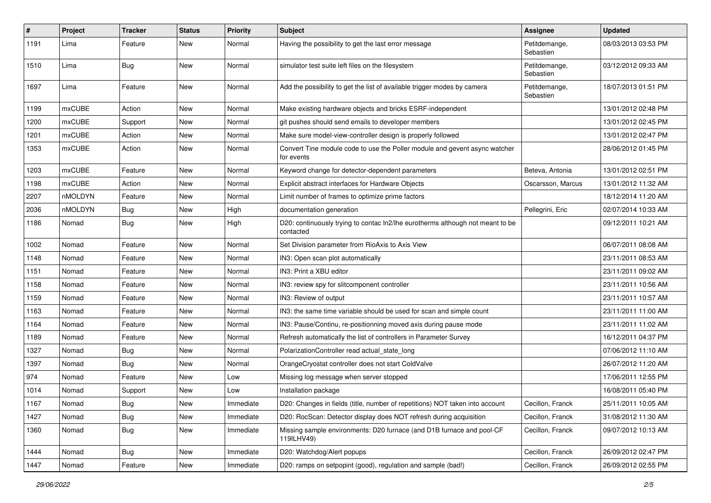| $\vert$ # | Project       | <b>Tracker</b> | <b>Status</b> | <b>Priority</b> | <b>Subject</b>                                                                              | <b>Assignee</b>            | <b>Updated</b>      |
|-----------|---------------|----------------|---------------|-----------------|---------------------------------------------------------------------------------------------|----------------------------|---------------------|
| 1191      | Lima          | Feature        | New           | Normal          | Having the possibility to get the last error message                                        | Petitdemange,<br>Sebastien | 08/03/2013 03:53 PM |
| 1510      | Lima          | <b>Bug</b>     | New           | Normal          | simulator test suite left files on the filesystem                                           | Petitdemange,<br>Sebastien | 03/12/2012 09:33 AM |
| 1697      | Lima          | Feature        | New           | Normal          | Add the possibility to get the list of available trigger modes by camera                    | Petitdemange,<br>Sebastien | 18/07/2013 01:51 PM |
| 1199      | mxCUBE        | Action         | New           | Normal          | Make existing hardware objects and bricks ESRF-independent                                  |                            | 13/01/2012 02:48 PM |
| 1200      | <b>mxCUBE</b> | Support        | New           | Normal          | git pushes should send emails to developer members                                          |                            | 13/01/2012 02:45 PM |
| 1201      | <b>mxCUBE</b> | Action         | New           | Normal          | Make sure model-view-controller design is properly followed                                 |                            | 13/01/2012 02:47 PM |
| 1353      | <b>mxCUBE</b> | Action         | New           | Normal          | Convert Tine module code to use the Poller module and gevent async watcher<br>for events    |                            | 28/06/2012 01:45 PM |
| 1203      | mxCUBE        | Feature        | New           | Normal          | Keyword change for detector-dependent parameters                                            | Beteva, Antonia            | 13/01/2012 02:51 PM |
| 1198      | mxCUBE        | Action         | New           | Normal          | Explicit abstract interfaces for Hardware Objects                                           | Oscarsson, Marcus          | 13/01/2012 11:32 AM |
| 2207      | nMOLDYN       | Feature        | New           | Normal          | Limit number of frames to optimize prime factors                                            |                            | 18/12/2014 11:20 AM |
| 2036      | nMOLDYN       | <b>Bug</b>     | New           | High            | documentation generation                                                                    | Pellegrini, Eric           | 02/07/2014 10:33 AM |
| 1186      | Nomad         | <b>Bug</b>     | New           | High            | D20: continuously trying to contac ln2/lhe eurotherms although not meant to be<br>contacted |                            | 09/12/2011 10:21 AM |
| 1002      | Nomad         | Feature        | <b>New</b>    | Normal          | Set Division parameter from RioAxis to Axis View                                            |                            | 06/07/2011 08:08 AM |
| 1148      | Nomad         | Feature        | New           | Normal          | IN3: Open scan plot automatically                                                           |                            | 23/11/2011 08:53 AM |
| 1151      | Nomad         | Feature        | New           | Normal          | IN3: Print a XBU editor                                                                     |                            | 23/11/2011 09:02 AM |
| 1158      | Nomad         | Feature        | New           | Normal          | IN3: review spy for slitcomponent controller                                                |                            | 23/11/2011 10:56 AM |
| 1159      | Nomad         | Feature        | New           | Normal          | IN3: Review of output                                                                       |                            | 23/11/2011 10:57 AM |
| 1163      | Nomad         | Feature        | New           | Normal          | IN3: the same time variable should be used for scan and simple count                        |                            | 23/11/2011 11:00 AM |
| 1164      | Nomad         | Feature        | New           | Normal          | IN3: Pause/Continu, re-positionning moved axis during pause mode                            |                            | 23/11/2011 11:02 AM |
| 1189      | Nomad         | Feature        | New           | Normal          | Refresh automatically the list of controllers in Parameter Survey                           |                            | 16/12/2011 04:37 PM |
| 1327      | Nomad         | <b>Bug</b>     | New           | Normal          | PolarizationController read actual_state_long                                               |                            | 07/06/2012 11:10 AM |
| 1397      | Nomad         | <b>Bug</b>     | New           | Normal          | OrangeCryostat controller does not start ColdValve                                          |                            | 26/07/2012 11:20 AM |
| 974       | Nomad         | Feature        | New           | Low             | Missing log message when server stopped                                                     |                            | 17/06/2011 12:55 PM |
| 1014      | Nomad         | Support        | New           | Low             | Installation package                                                                        |                            | 16/08/2011 05:40 PM |
| 1167      | Nomad         | Bug            | New           | Immediate       | D20: Changes in fields (title, number of repetitions) NOT taken into account                | Cecillon, Franck           | 25/11/2011 10:05 AM |
| 1427      | Nomad         | <b>Bug</b>     | New           | Immediate       | D20: RocScan: Detector display does NOT refresh during acquisition                          | Cecillon, Franck           | 31/08/2012 11:30 AM |
| 1360      | Nomad         | <b>Bug</b>     | New           | Immediate       | Missing sample environments: D20 furnace (and D1B furnace and pool-CF<br>119ILHV49)         | Cecillon, Franck           | 09/07/2012 10:13 AM |
| 1444      | Nomad         | <b>Bug</b>     | New           | Immediate       | D20: Watchdog/Alert popups                                                                  | Cecillon, Franck           | 26/09/2012 02:47 PM |
| 1447      | Nomad         | Feature        | New           | Immediate       | D20: ramps on setpopint (good), regulation and sample (bad!)                                | Cecillon, Franck           | 26/09/2012 02:55 PM |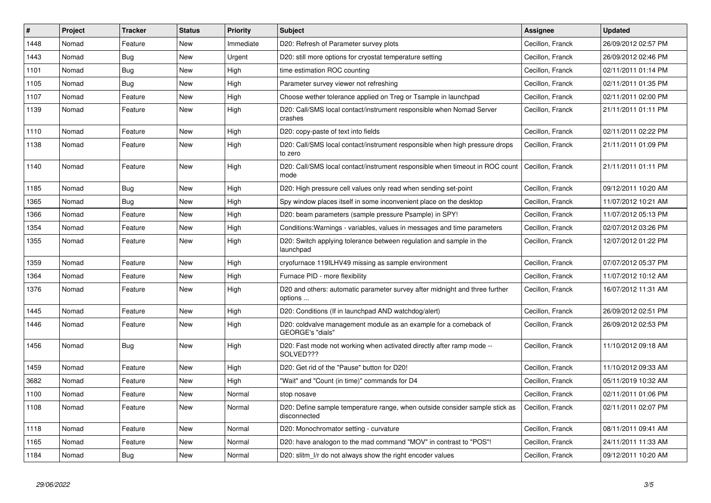| ∣#   | <b>Project</b> | <b>Tracker</b> | <b>Status</b> | <b>Priority</b> | <b>Subject</b>                                                                                     | <b>Assignee</b>  | <b>Updated</b>      |
|------|----------------|----------------|---------------|-----------------|----------------------------------------------------------------------------------------------------|------------------|---------------------|
| 1448 | Nomad          | Feature        | <b>New</b>    | Immediate       | D20: Refresh of Parameter survey plots                                                             | Cecillon, Franck | 26/09/2012 02:57 PM |
| 1443 | Nomad          | <b>Bug</b>     | <b>New</b>    | Urgent          | D20: still more options for cryostat temperature setting                                           | Cecillon, Franck | 26/09/2012 02:46 PM |
| 1101 | Nomad          | <b>Bug</b>     | <b>New</b>    | High            | time estimation ROC counting                                                                       | Cecillon, Franck | 02/11/2011 01:14 PM |
| 1105 | Nomad          | Bug            | <b>New</b>    | High            | Parameter survey viewer not refreshing                                                             | Cecillon, Franck | 02/11/2011 01:35 PM |
| 1107 | Nomad          | Feature        | New           | High            | Choose wether tolerance applied on Treg or Tsample in launchpad                                    | Cecillon, Franck | 02/11/2011 02:00 PM |
| 1139 | Nomad          | Feature        | New           | High            | D20: Call/SMS local contact/instrument responsible when Nomad Server<br>crashes                    | Cecillon, Franck | 21/11/2011 01:11 PM |
| 1110 | Nomad          | Feature        | New           | High            | D20: copy-paste of text into fields                                                                | Cecillon, Franck | 02/11/2011 02:22 PM |
| 1138 | Nomad          | Feature        | <b>New</b>    | High            | D20: Call/SMS local contact/instrument responsible when high pressure drops<br>to zero             | Cecillon, Franck | 21/11/2011 01:09 PM |
| 1140 | Nomad          | Feature        | New           | High            | D20: Call/SMS local contact/instrument responsible when timeout in ROC count<br>mode               | Cecillon, Franck | 21/11/2011 01:11 PM |
| 1185 | Nomad          | <b>Bug</b>     | <b>New</b>    | High            | D20: High pressure cell values only read when sending set-point                                    | Cecillon, Franck | 09/12/2011 10:20 AM |
| 1365 | Nomad          | Bug            | New           | High            | Spy window places itself in some inconvenient place on the desktop                                 | Cecillon, Franck | 11/07/2012 10:21 AM |
| 1366 | Nomad          | Feature        | New           | High            | D20: beam parameters (sample pressure Psample) in SPY!                                             | Cecillon, Franck | 11/07/2012 05:13 PM |
| 1354 | Nomad          | Feature        | <b>New</b>    | High            | Conditions: Warnings - variables, values in messages and time parameters                           | Cecillon, Franck | 02/07/2012 03:26 PM |
| 1355 | Nomad          | Feature        | New           | High            | D20: Switch applying tolerance between regulation and sample in the<br>launchpad                   | Cecillon, Franck | 12/07/2012 01:22 PM |
| 1359 | Nomad          | Feature        | <b>New</b>    | High            | cryofurnace 119ILHV49 missing as sample environment                                                | Cecillon, Franck | 07/07/2012 05:37 PM |
| 1364 | Nomad          | Feature        | <b>New</b>    | High            | Furnace PID - more flexibility                                                                     | Cecillon, Franck | 11/07/2012 10:12 AM |
| 1376 | Nomad          | Feature        | New           | High            | D <sub>20</sub> and others: automatic parameter survey after midnight and three further<br>options | Cecillon, Franck | 16/07/2012 11:31 AM |
| 1445 | Nomad          | Feature        | <b>New</b>    | High            | D20: Conditions (If in launchpad AND watchdog/alert)                                               | Cecillon, Franck | 26/09/2012 02:51 PM |
| 1446 | Nomad          | Feature        | <b>New</b>    | High            | D20: coldvalve management module as an example for a comeback of<br>GEORGE's "dials"               | Cecillon, Franck | 26/09/2012 02:53 PM |
| 1456 | Nomad          | <b>Bug</b>     | <b>New</b>    | High            | D20: Fast mode not working when activated directly after ramp mode --<br>SOLVED???                 | Cecillon, Franck | 11/10/2012 09:18 AM |
| 1459 | Nomad          | Feature        | New           | High            | D20: Get rid of the "Pause" button for D20!                                                        | Cecillon, Franck | 11/10/2012 09:33 AM |
| 3682 | Nomad          | Feature        | <b>New</b>    | High            | 'Wait" and "Count (in time)" commands for D4                                                       | Cecillon, Franck | 05/11/2019 10:32 AM |
| 1100 | Nomad          | Feature        | New           | Normal          | stop nosave                                                                                        | Cecillon, Franck | 02/11/2011 01:06 PM |
| 1108 | Nomad          | Feature        | New           | Normal          | D20: Define sample temperature range, when outside consider sample stick as<br>disconnected        | Cecillon, Franck | 02/11/2011 02:07 PM |
| 1118 | Nomad          | Feature        | <b>New</b>    | Normal          | D20: Monochromator setting - curvature                                                             | Cecillon, Franck | 08/11/2011 09:41 AM |
| 1165 | Nomad          | Feature        | New           | Normal          | D20: have analogon to the mad command "MOV" in contrast to "POS"!                                  | Cecillon, Franck | 24/11/2011 11:33 AM |
| 1184 | Nomad          | <b>Bug</b>     | <b>New</b>    | Normal          | D20: slitm I/r do not always show the right encoder values                                         | Cecillon, Franck | 09/12/2011 10:20 AM |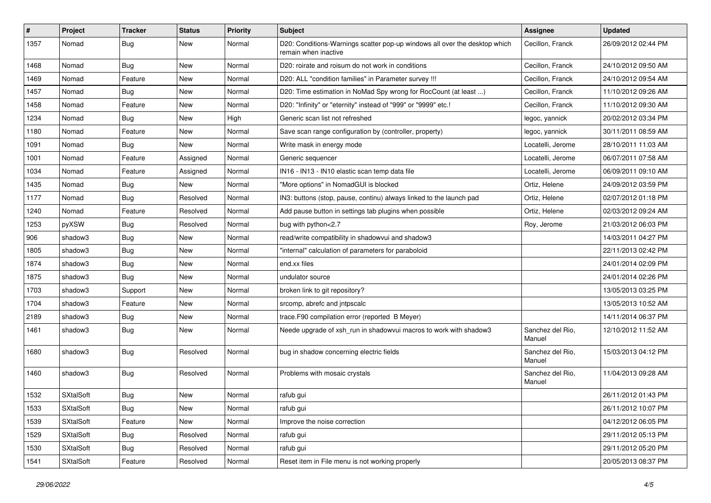| #    | Project          | <b>Tracker</b> | <b>Status</b> | <b>Priority</b> | <b>Subject</b>                                                                                     | Assignee                   | <b>Updated</b>      |
|------|------------------|----------------|---------------|-----------------|----------------------------------------------------------------------------------------------------|----------------------------|---------------------|
| 1357 | Nomad            | <b>Bug</b>     | New           | Normal          | D20: Conditions-Warnings scatter pop-up windows all over the desktop which<br>remain when inactive | Cecillon, Franck           | 26/09/2012 02:44 PM |
| 1468 | Nomad            | <b>Bug</b>     | New           | Normal          | D20: roirate and roisum do not work in conditions                                                  | Cecillon, Franck           | 24/10/2012 09:50 AM |
| 1469 | Nomad            | Feature        | New           | Normal          | D20: ALL "condition families" in Parameter survey !!!                                              | Cecillon, Franck           | 24/10/2012 09:54 AM |
| 1457 | Nomad            | <b>Bug</b>     | New           | Normal          | D20: Time estimation in NoMad Spy wrong for RocCount (at least )                                   | Cecillon, Franck           | 11/10/2012 09:26 AM |
| 1458 | Nomad            | Feature        | New           | Normal          | D20: "Infinity" or "eternity" instead of "999" or "9999" etc.!                                     | Cecillon, Franck           | 11/10/2012 09:30 AM |
| 1234 | Nomad            | <b>Bug</b>     | New           | High            | Generic scan list not refreshed                                                                    | legoc, yannick             | 20/02/2012 03:34 PM |
| 1180 | Nomad            | Feature        | New           | Normal          | Save scan range configuration by (controller, property)                                            | legoc, yannick             | 30/11/2011 08:59 AM |
| 1091 | Nomad            | <b>Bug</b>     | New           | Normal          | Write mask in energy mode                                                                          | Locatelli, Jerome          | 28/10/2011 11:03 AM |
| 1001 | Nomad            | Feature        | Assigned      | Normal          | Generic sequencer                                                                                  | Locatelli, Jerome          | 06/07/2011 07:58 AM |
| 1034 | Nomad            | Feature        | Assigned      | Normal          | IN16 - IN13 - IN10 elastic scan temp data file                                                     | Locatelli, Jerome          | 06/09/2011 09:10 AM |
| 1435 | Nomad            | <b>Bug</b>     | New           | Normal          | "More options" in NomadGUI is blocked                                                              | Ortiz, Helene              | 24/09/2012 03:59 PM |
| 1177 | Nomad            | <b>Bug</b>     | Resolved      | Normal          | IN3: buttons (stop, pause, continu) always linked to the launch pad                                | Ortiz, Helene              | 02/07/2012 01:18 PM |
| 1240 | Nomad            | Feature        | Resolved      | Normal          | Add pause button in settings tab plugins when possible                                             | Ortiz, Helene              | 02/03/2012 09:24 AM |
| 1253 | pyXSW            | <b>Bug</b>     | Resolved      | Normal          | bug with python<2.7                                                                                | Roy, Jerome                | 21/03/2012 06:03 PM |
| 906  | shadow3          | <b>Bug</b>     | New           | Normal          | read/write compatibility in shadowvui and shadow3                                                  |                            | 14/03/2011 04:27 PM |
| 1805 | shadow3          | Bug            | New           | Normal          | "internal" calculation of parameters for paraboloid                                                |                            | 22/11/2013 02:42 PM |
| 1874 | shadow3          | <b>Bug</b>     | New           | Normal          | end.xx files                                                                                       |                            | 24/01/2014 02:09 PM |
| 1875 | shadow3          | Bug            | New           | Normal          | undulator source                                                                                   |                            | 24/01/2014 02:26 PM |
| 1703 | shadow3          | Support        | New           | Normal          | broken link to git repository?                                                                     |                            | 13/05/2013 03:25 PM |
| 1704 | shadow3          | Feature        | New           | Normal          | srcomp, abrefc and intpscalc                                                                       |                            | 13/05/2013 10:52 AM |
| 2189 | shadow3          | <b>Bug</b>     | New           | Normal          | trace.F90 compilation error (reported B Meyer)                                                     |                            | 14/11/2014 06:37 PM |
| 1461 | shadow3          | <b>Bug</b>     | New           | Normal          | Neede upgrade of xsh_run in shadowvui macros to work with shadow3                                  | Sanchez del Rio.<br>Manuel | 12/10/2012 11:52 AM |
| 1680 | shadow3          | <b>Bug</b>     | Resolved      | Normal          | bug in shadow concerning electric fields                                                           | Sanchez del Rio,<br>Manuel | 15/03/2013 04:12 PM |
| 1460 | shadow3          | <b>Bug</b>     | Resolved      | Normal          | Problems with mosaic crystals                                                                      | Sanchez del Rio,<br>Manuel | 11/04/2013 09:28 AM |
| 1532 | <b>SXtalSoft</b> | Bug            | New           | Normal          | rafub gui                                                                                          |                            | 26/11/2012 01:43 PM |
| 1533 | <b>SXtalSoft</b> | <b>Bug</b>     | New           | Normal          | rafub gui                                                                                          |                            | 26/11/2012 10:07 PM |
| 1539 | SXtalSoft        | Feature        | New           | Normal          | Improve the noise correction                                                                       |                            | 04/12/2012 06:05 PM |
| 1529 | <b>SXtalSoft</b> | Bug            | Resolved      | Normal          | rafub gui                                                                                          |                            | 29/11/2012 05:13 PM |
| 1530 | SXtalSoft        | <b>Bug</b>     | Resolved      | Normal          | rafub gui                                                                                          |                            | 29/11/2012 05:20 PM |
| 1541 | SXtalSoft        | Feature        | Resolved      | Normal          | Reset item in File menu is not working properly                                                    |                            | 20/05/2013 08:37 PM |